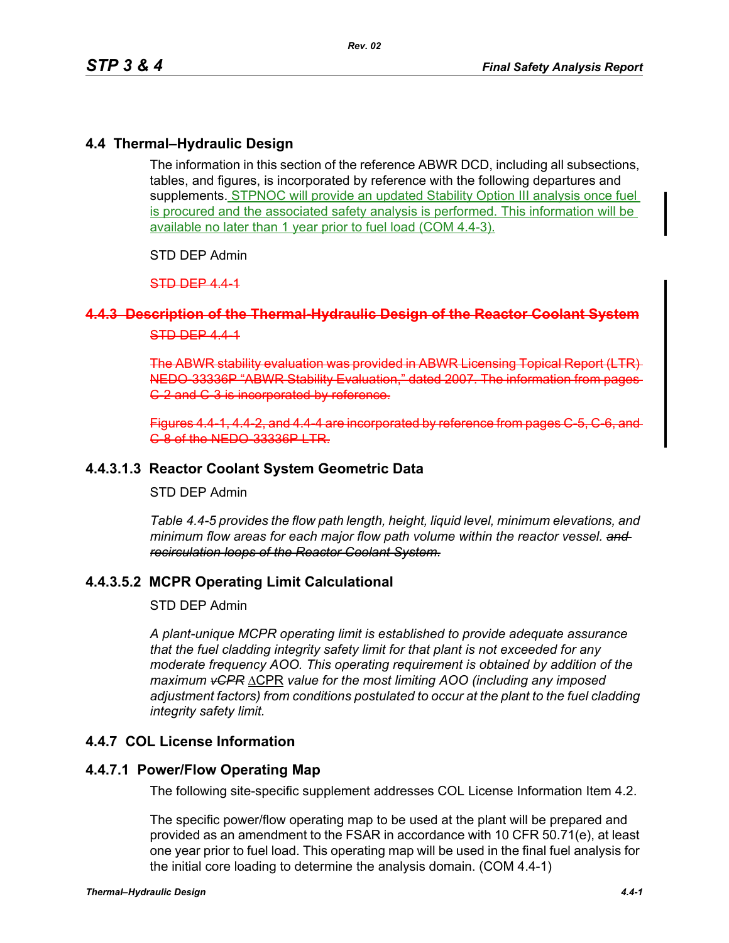## **4.4 Thermal–Hydraulic Design**

The information in this section of the reference ABWR DCD, including all subsections, tables, and figures, is incorporated by reference with the following departures and supplements. STPNOC will provide an updated Stability Option III analysis once fuel is procured and the associated safety analysis is performed. This information will be available no later than 1 year prior to fuel load (COM 4.4-3).

STD DEP Admin

STD DEP 4.4-1

### **4.4.3 Description of the Thermal-Hydraulic Design of the Reactor Coolant System**

### STD DEP 444

The ABWR stability evaluation was provided in ABWR Licensing Topical Report NEDO-33336P "ABWR Stability Evaluation," dated 2007. The information C-2 and C-3 is incorporated by reference.

Figures 4.4-1, 4.4-2, and 4.4-4 are incorporated by reference from page C-8 of the NEDO-33336P LTR.

## **4.4.3.1.3 Reactor Coolant System Geometric Data**

### STD DEP Admin

*Table 4.4-5 provides the flow path length, height, liquid level, minimum elevations, and minimum flow areas for each major flow path volume within the reactor vessel. and recirculation loops of the Reactor Coolant System.*

## **4.4.3.5.2 MCPR Operating Limit Calculational**

#### STD DEP Admin

*A plant-unique MCPR operating limit is established to provide adequate assurance that the fuel cladding integrity safety limit for that plant is not exceeded for any moderate frequency AOO. This operating requirement is obtained by addition of the maximum vCPR* ΔCPR *value for the most limiting AOO (including any imposed adjustment factors) from conditions postulated to occur at the plant to the fuel cladding integrity safety limit.*

## **4.4.7 COL License Information**

### **4.4.7.1 Power/Flow Operating Map**

The following site-specific supplement addresses COL License Information Item 4.2.

The specific power/flow operating map to be used at the plant will be prepared and provided as an amendment to the FSAR in accordance with 10 CFR 50.71(e), at least one year prior to fuel load. This operating map will be used in the final fuel analysis for the initial core loading to determine the analysis domain. (COM 4.4-1)